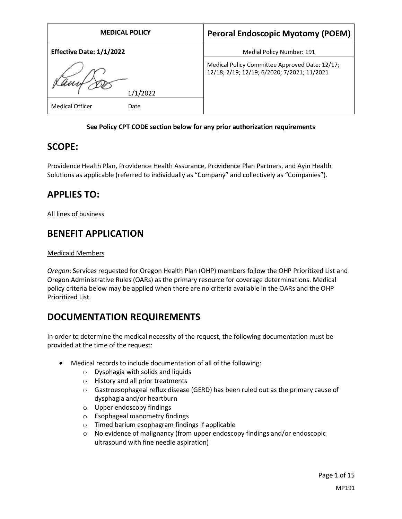| <b>MEDICAL POLICY</b>          | <b>Peroral Endoscopic Myotomy (POEM)</b>                                                      |
|--------------------------------|-----------------------------------------------------------------------------------------------|
| Effective Date: 1/1/2022       | Medial Policy Number: 191                                                                     |
| 1/1/2022                       | Medical Policy Committee Approved Date: 12/17;<br>12/18; 2/19; 12/19; 6/2020; 7/2021; 11/2021 |
| <b>Medical Officer</b><br>Date |                                                                                               |

### **See Policy CPT CODE section below for any prior authorization requirements**

## **SCOPE:**

Providence Health Plan, Providence Health Assurance, Providence Plan Partners, and Ayin Health Solutions as applicable (referred to individually as "Company" and collectively as "Companies").

# **APPLIES TO:**

All lines of business

# **BENEFIT APPLICATION**

## Medicaid Members

*Oregon*: Services requested for Oregon Health Plan (OHP) members follow the OHP Prioritized List and Oregon Administrative Rules (OARs) as the primary resource for coverage determinations. Medical policy criteria below may be applied when there are no criteria available in the OARs and the OHP Prioritized List.

# **DOCUMENTATION REQUIREMENTS**

In order to determine the medical necessity of the request, the following documentation must be provided at the time of the request:

- Medical records to include documentation of all of the following:
	- o Dysphagia with solids and liquids
	- o History and all prior treatments
	- o Gastroesophageal reflux disease (GERD) has been ruled out as the primary cause of dysphagia and/or heartburn
	- o Upper endoscopy findings
	- o Esophageal manometry findings
	- o Timed barium esophagram findings if applicable
	- $\circ$  No evidence of malignancy (from upper endoscopy findings and/or endoscopic ultrasound with fine needle aspiration)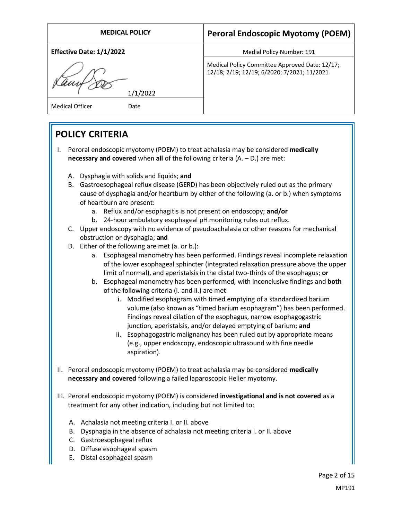| <b>MEDICAL POLICY</b>               | <b>Peroral Endoscopic Myotomy (POEM)</b>                                                      |
|-------------------------------------|-----------------------------------------------------------------------------------------------|
| Effective Date: 1/1/2022            | Medial Policy Number: 191                                                                     |
| 1/1/2022<br>Medical Officer<br>Date | Medical Policy Committee Approved Date: 12/17;<br>12/18; 2/19; 12/19; 6/2020; 7/2021; 11/2021 |
|                                     |                                                                                               |

# **POLICY CRITERIA**

- I. Peroral endoscopic myotomy (POEM) to treat achalasia may be considered **medically necessary and covered** when **all** of the following criteria (A. – D.) are met:
	- A. Dysphagia with solids and liquids; **and**
	- B. Gastroesophageal reflux disease (GERD) has been objectively ruled out as the primary cause of dysphagia and/or heartburn by either of the following (a. or b.) when symptoms of heartburn are present:
		- a. Reflux and/or esophagitis is not present on endoscopy; **and/or**
		- b. 24-hour ambulatory esophageal pH monitoring rules out reflux.
	- C. Upper endoscopy with no evidence of pseudoachalasia or other reasons for mechanical obstruction or dysphagia; **and**
	- D. Either of the following are met (a. or b.):
		- a. Esophageal manometry has been performed. Findings reveal incomplete relaxation of the lower esophageal sphincter (integrated relaxation pressure above the upper limit of normal), and aperistalsisin the distal two-thirds of the esophagus; **or**
		- b. Esophageal manometry has been performed, with inconclusive findings and **both** of the following criteria (i. and ii.) are met:
			- i. Modified esophagram with timed emptying of a standardized barium volume (also known as "timed barium esophagram") has been performed. Findings reveal dilation of the esophagus, narrow esophagogastric junction, aperistalsis, and/or delayed emptying of barium; **and**
			- ii. Esophagogastric malignancy has been ruled out by appropriate means (e.g., upper endoscopy, endoscopic ultrasound with fine needle aspiration).
- II. Peroral endoscopic myotomy (POEM) to treat achalasia may be considered **medically necessary and covered** following a failed laparoscopic Heller myotomy.
- III. Peroral endoscopic myotomy (POEM) is considered **investigational and is not covered** as a treatment for any other indication, including but not limited to:
	- A. Achalasia not meeting criteria I. or II. above
	- B. Dysphagia in the absence of achalasia not meeting criteria I. or II. above
	- C. Gastroesophageal reflux
	- D. Diffuse esophageal spasm
	- E. Distal esophageal spasm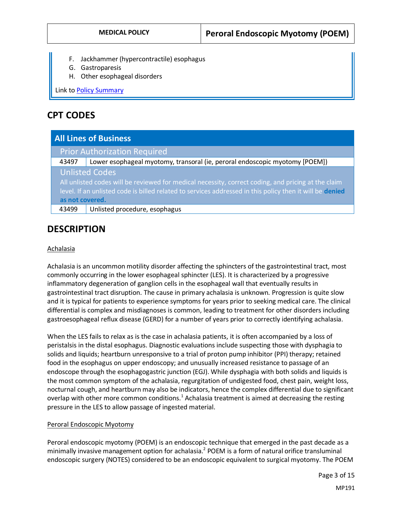- F. Jackhammer (hypercontractile) esophagus
- G. Gastroparesis
- H. Other esophageal disorders

Link t[o Policy Summary](#page-9-0)

## **CPT CODES**

| <b>All Lines of Business</b>                                                                             |                                                                             |  |
|----------------------------------------------------------------------------------------------------------|-----------------------------------------------------------------------------|--|
|                                                                                                          | <b>Prior Authorization Required</b>                                         |  |
| 43497                                                                                                    | Lower esophageal myotomy, transoral (ie, peroral endoscopic myotomy [POEM]) |  |
| <b>Unlisted Codes</b>                                                                                    |                                                                             |  |
| All unlisted codes will be reviewed for medical necessity, correct coding, and pricing at the claim      |                                                                             |  |
| level. If an unlisted code is billed related to services addressed in this policy then it will be denied |                                                                             |  |
| as not covered.                                                                                          |                                                                             |  |
| 43499                                                                                                    | Unlisted procedure, esophagus                                               |  |

# **DESCRIPTION**

### Achalasia

Achalasia is an uncommon motility disorder affecting the sphincters of the gastrointestinal tract, most commonly occurring in the lower esophageal sphincter (LES). It is characterized by a progressive inflammatory degeneration of ganglion cells in the esophageal wall that eventually results in gastrointestinal tract disruption. The cause in primary achalasia is unknown. Progression is quite slow and it is typical for patients to experience symptoms for years prior to seeking medical care. The clinical differential is complex and misdiagnoses is common, leading to treatment for other disorders including gastroesophageal reflux disease (GERD) for a number of years prior to correctly identifying achalasia.

When the LES fails to relax as is the case in achalasia patients, it is often accompanied by a loss of peristalsis in the distal esophagus. Diagnostic evaluations include suspecting those with dysphagia to solids and liquids; heartburn unresponsive to a trial of proton pump inhibitor (PPI) therapy; retained food in the esophagus on upper endoscopy; and unusually increased resistance to passage of an endoscope through the esophagogastric junction (EGJ). While dysphagia with both solids and liquids is the most common symptom of the achalasia, regurgitation of undigested food, chest pain, weight loss, nocturnal cough, and heartburn may also be indicators, hence the complex differential due to significant overlap with other more common conditions.<sup>1</sup> Achalasia treatment is aimed at decreasing the resting pressure in the LES to allow passage of ingested material.

### Peroral Endoscopic Myotomy

Peroral endoscopic myotomy (POEM) is an endoscopic technique that emerged in the past decade as a minimally invasive management option for achalasia.<sup>2</sup> POEM is a form of natural orifice transluminal endoscopic surgery (NOTES) considered to be an endoscopic equivalent to surgical myotomy. The POEM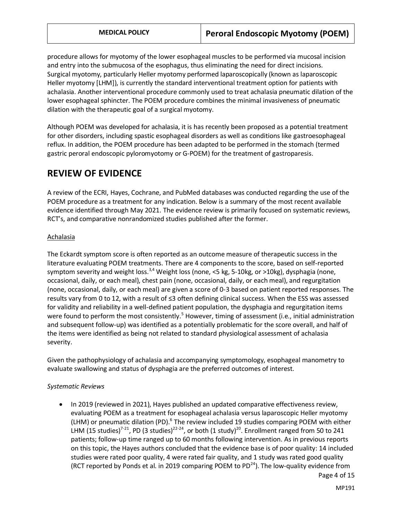procedure allows for myotomy of the lower esophageal muscles to be performed via mucosal incision and entry into the submucosa of the esophagus, thus eliminating the need for direct incisions. Surgical myotomy, particularly Heller myotomy performed laparoscopically (known as laparoscopic Heller myotomy [LHM]), is currently the standard interventional treatment option for patients with achalasia. Another interventional procedure commonly used to treat achalasia pneumatic dilation of the lower esophageal sphincter. The POEM procedure combines the minimal invasiveness of pneumatic dilation with the therapeutic goal of a surgical myotomy.

Although POEM was developed for achalasia, it is has recently been proposed as a potential treatment for other disorders, including spastic esophageal disorders as well as conditions like gastroesophageal reflux. In addition, the POEM procedure has been adapted to be performed in the stomach (termed gastric peroral endoscopic pyloromyotomy or G-POEM) for the treatment of gastroparesis.

## **REVIEW OF EVIDENCE**

A review of the ECRI, Hayes, Cochrane, and PubMed databases was conducted regarding the use of the POEM procedure as a treatment for any indication. Below is a summary of the most recent available evidence identified through May 2021. The evidence review is primarily focused on systematic reviews, RCT's, and comparative nonrandomized studies published after the former.

## Achalasia

The Eckardt symptom score is often reported as an outcome measure of therapeutic success in the literature evaluating POEM treatments. There are 4 components to the score, based on self-reported symptom severity and weight loss.<sup>3,4</sup> Weight loss (none, <5 kg, 5-10kg, or >10kg), dysphagia (none, occasional, daily, or each meal), chest pain (none, occasional, daily, or each meal), and regurgitation (none, occasional, daily, or each meal) are given a score of 0-3 based on patient reported responses. The results vary from 0 to 12, with a result of ≤3 often defining clinical success. When the ESS was assessed for validity and reliability in a well-defined patient population, the dysphagia and regurgitation items were found to perform the most consistently.<sup>5</sup> However, timing of assessment (i.e., initial administration and subsequent follow-up) was identified as a potentially problematic for the score overall, and half of the items were identified as being not related to standard physiological assessment of achalasia severity.

Given the pathophysiology of achalasia and accompanying symptomology, esophageal manometry to evaluate swallowing and status of dysphagia are the preferred outcomes of interest.

### *Systematic Reviews*

Page 4 of 15 • In 2019 (reviewed in 2021), Hayes published an updated comparative effectiveness review, evaluating POEM as a treatment for esophageal achalasia versus laparoscopic Heller myotomy (LHM) or pneumatic dilation (PD).<sup>6</sup> The review included 19 studies comparing POEM with either LHM (15 studies)<sup>7-21</sup>, PD (3 studies)<sup>22-24</sup>, or both (1 study)<sup>20</sup>. Enrollment ranged from 50 to 241 patients; follow-up time ranged up to 60 months following intervention. As in previous reports on this topic, the Hayes authors concluded that the evidence base is of poor quality: 14 included studies were rated poor quality, 4 were rated fair quality, and 1 study was rated good quality (RCT reported by Ponds et al. in 2019 comparing POEM to PD<sup>24</sup>). The low-quality evidence from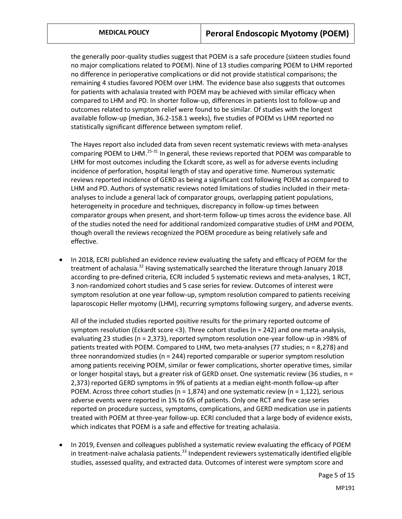the generally poor-quality studies suggest that POEM is a safe procedure (sixteen studies found no major complications related to POEM). Nine of 13 studies comparing POEM to LHM reported no difference in perioperative complications or did not provide statistical comparisons; the remaining 4 studies favored POEM over LHM. The evidence base also suggests that outcomes for patients with achalasia treated with POEM may be achieved with similar efficacy when compared to LHM and PD. In shorter follow-up, differences in patients lost to follow-up and outcomes related to symptom relief were found to be similar. Of studies with the longest available follow-up (median, 36.2-158.1 weeks), five studies of POEM vs LHM reported no statistically significant difference between symptom relief.

The Hayes report also included data from seven recent systematic reviews with meta-analyses comparing POEM to LHM.<sup>25-31</sup> In general, these reviews reported that POEM was comparable to LHM for most outcomes including the Eckardt score, as well as for adverse events including incidence of perforation, hospital length of stay and operative time. Numerous systematic reviews reported incidence of GERD as being a significant cost following POEM as compared to LHM and PD. Authors of systematic reviews noted limitations of studies included in their metaanalyses to include a general lack of comparator groups, overlapping patient populations, heterogeneity in procedure and techniques, discrepancy in follow-up times between comparator groups when present, and short-term follow-up times across the evidence base. All of the studies noted the need for additional randomized comparative studies of LHM and POEM, though overall the reviews recognized the POEM procedure as being relatively safe and effective.

• In 2018, ECRI published an evidence review evaluating the safety and efficacy of POEM for the treatment of achalasia.<sup>32</sup> Having systematically searched the literature through January 2018 according to pre-defined criteria, ECRI included 5 systematic reviews and meta-analyses, 1 RCT, 3 non-randomized cohort studies and 5 case series for review. Outcomes of interest were symptom resolution at one year follow-up, symptom resolution compared to patients receiving laparoscopic Heller myotomy (LHM), recurring symptoms following surgery, and adverse events.

All of the included studies reported positive results for the primary reported outcome of symptom resolution (Eckardt score <3). Three cohort studies (n = 242) and one meta-analysis, evaluating 23 studies (n = 2,373), reported symptom resolution one-year follow-up in >98% of patients treated with POEM. Compared to LHM, two meta-analyses (77 studies; n = 8,278) and three nonrandomized studies ( $n = 244$ ) reported comparable or superior symptom resolution among patients receiving POEM, similar or fewer complications, shorter operative times, similar or longer hospital stays, but a greater risk of GERD onset. One systematic review (36 studies, n = 2,373) reported GERD symptoms in 9% of patients at a median eight-month follow-up after POEM. Across three cohort studies ( $n = 1,874$ ) and one systematic review ( $n = 1,122$ ), serious adverse events were reported in 1% to 6% of patients. Only one RCT and five case series reported on procedure success, symptoms, complications, and GERD medication use in patients treated with POEM at three-year follow-up. ECRI concluded that a large body of evidence exists, which indicates that POEM is a safe and effective for treating achalasia.

• In 2019, Evensen and colleagues published a systematic review evaluating the efficacy of POEM in treatment-naïve achalasia patients.<sup>33</sup> Independent reviewers systematically identified eligible studies, assessed quality, and extracted data. Outcomes of interest were symptom score and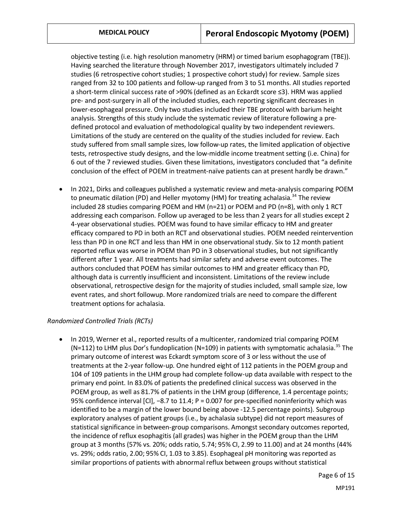objective testing (i.e. high resolution manometry (HRM) or timed barium esophagogram (TBE)). Having searched the literature through November 2017, investigators ultimately included 7 studies (6 retrospective cohort studies; 1 prospective cohort study) for review. Sample sizes ranged from 32 to 100 patients and follow-up ranged from 3 to 51 months. All studies reported a short-term clinical success rate of >90% (defined as an Eckardt score ≤3). HRM was applied pre- and post-surgery in all of the included studies, each reporting significant decreases in lower-esophageal pressure. Only two studies included their TBE protocol with barium height analysis. Strengths of this study include the systematic review of literature following a predefined protocol and evaluation of methodological quality by two independent reviewers. Limitations of the study are centered on the quality of the studies included for review. Each study suffered from small sample sizes, low follow-up rates, the limited application of objective tests, retrospective study designs, and the low-middle income treatment setting (i.e. China) for 6 out of the 7 reviewed studies. Given these limitations, investigators concluded that "a definite conclusion of the effect of POEM in treatment-naïve patients can at present hardly be drawn."

• In 2021, Dirks and colleagues published a systematic review and meta-analysis comparing POEM to pneumatic dilation (PD) and Heller myotomy (HM) for treating achalasia.<sup>34</sup> The review included 28 studies comparing POEM and HM (n=21) or POEM and PD (n=8), with only 1 RCT addressing each comparison. Follow up averaged to be less than 2 years for all studies except 2 4-year observational studies. POEM was found to have similar efficacy to HM and greater efficacy compared to PD in both an RCT and observational studies. POEM needed reintervention less than PD in one RCT and less than HM in one observational study. Six to 12 month patient reported reflux was worse in POEM than PD in 3 observational studies, but not significantly different after 1 year. All treatments had similar safety and adverse event outcomes. The authors concluded that POEM has similar outcomes to HM and greater efficacy than PD, although data is currently insufficient and inconsistent. Limitations of the review include observational, retrospective design for the majority of studies included, small sample size, low event rates, and short followup. More randomized trials are need to compare the different treatment options for achalasia.

## *Randomized Controlled Trials (RCTs)*

• In 2019, Werner et al., reported results of a multicenter, randomized trial comparing POEM (N=112) to LHM plus Dor's fundoplication (N=109) in patients with symptomatic achalasia.<sup>35</sup> The primary outcome of interest was Eckardt symptom score of 3 or less without the use of treatments at the 2-year follow-up. One hundred eight of 112 patients in the POEM group and 104 of 109 patients in the LHM group had complete follow-up data available with respect to the primary end point. In 83.0% of patients the predefined clinical success was observed in the POEM group, as well as 81.7% of patients in the LHM group (difference, 1.4 percentage points; 95% confidence interval [CI], −8.7 to 11.4; P = 0.007 for pre-specified noninferiority which was identified to be a margin of the lower bound being above -12.5 percentage points). Subgroup exploratory analyses of patient groups (i.e., by achalasia subtype) did not report measures of statistical significance in between-group comparisons. Amongst secondary outcomes reported, the incidence of reflux esophagitis (all grades) was higher in the POEM group than the LHM group at 3 months (57% vs. 20%; odds ratio, 5.74; 95% CI, 2.99 to 11.00) and at 24 months (44% vs. 29%; odds ratio, 2.00; 95% CI, 1.03 to 3.85). Esophageal pH monitoring was reported as similar proportions of patients with abnormal reflux between groups without statistical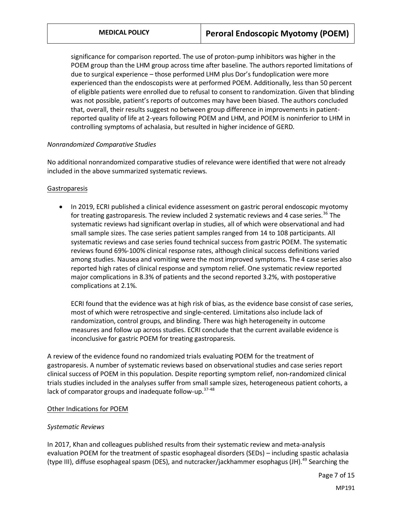significance for comparison reported. The use of proton-pump inhibitors was higher in the POEM group than the LHM group across time after baseline. The authors reported limitations of due to surgical experience – those performed LHM plus Dor's fundoplication were more experienced than the endoscopists were at performed POEM. Additionally, less than 50 percent of eligible patients were enrolled due to refusal to consent to randomization. Given that blinding was not possible, patient's reports of outcomes may have been biased. The authors concluded that, overall, their results suggest no between group difference in improvements in patientreported quality of life at 2-years following POEM and LHM, and POEM is noninferior to LHM in controlling symptoms of achalasia, but resulted in higher incidence of GERD.

### *Nonrandomized Comparative Studies*

No additional nonrandomized comparative studies of relevance were identified that were not already included in the above summarized systematic reviews.

#### Gastroparesis

• In 2019, ECRI published a clinical evidence assessment on gastric peroral endoscopic myotomy for treating gastroparesis. The review included 2 systematic reviews and 4 case series.<sup>36</sup> The systematic reviews had significant overlap in studies, all of which were observational and had small sample sizes. The case series patient samples ranged from 14 to 108 participants. All systematic reviews and case series found technical success from gastric POEM. The systematic reviews found 69%-100% clinical response rates, although clinical success definitions varied among studies. Nausea and vomiting were the most improved symptoms. The 4 case series also reported high rates of clinical response and symptom relief. One systematic review reported major complications in 8.3% of patients and the second reported 3.2%, with postoperative complications at 2.1%.

ECRI found that the evidence was at high risk of bias, as the evidence base consist of case series, most of which were retrospective and single-centered. Limitations also include lack of randomization, control groups, and blinding. There was high heterogeneity in outcome measures and follow up across studies. ECRI conclude that the current available evidence is inconclusive for gastric POEM for treating gastroparesis.

A review of the evidence found no randomized trials evaluating POEM for the treatment of gastroparesis. A number of systematic reviews based on observational studies and case series report clinical success of POEM in this population. Despite reporting symptom relief, non-randomized clinical trials studies included in the analyses suffer from small sample sizes, heterogeneous patient cohorts, a lack of comparator groups and inadequate follow-up.<sup>37-48</sup>

#### Other Indications for POEM

#### *Systematic Reviews*

In 2017, Khan and colleagues published results from their systematic review and meta-analysis evaluation POEM for the treatment of spastic esophageal disorders (SEDs) – including spastic achalasia (type III), diffuse esophageal spasm (DES), and nutcracker/jackhammer esophagus (JH).<sup>49</sup> Searching the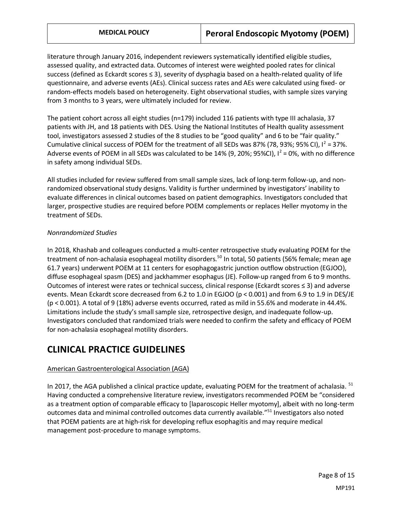literature through January 2016, independent reviewers systematically identified eligible studies, assessed quality, and extracted data. Outcomes of interest were weighted pooled rates for clinical success (defined as Eckardt scores ≤ 3), severity of dysphagia based on a health-related quality of life questionnaire, and adverse events (AEs). Clinical success rates and AEs were calculated using fixed- or random-effects models based on heterogeneity. Eight observational studies, with sample sizes varying from 3 months to 3 years, were ultimately included for review.

The patient cohort across all eight studies (n=179) included 116 patients with type III achalasia, 37 patients with JH, and 18 patients with DES. Using the National Institutes of Health quality assessment tool, investigators assessed 2 studies of the 8 studies to be "good quality" and 6 to be "fair quality." Cumulative clinical success of POEM for the treatment of all SEDs was 87% (78, 93%; 95% CI),  $I^2 = 37$ %. Adverse events of POEM in all SEDs was calculated to be 14% (9, 20%; 95%CI),  $I^2$  = 0%, with no difference in safety among individual SEDs.

All studies included for review suffered from small sample sizes, lack of long-term follow-up, and nonrandomized observational study designs. Validity is further undermined by investigators' inability to evaluate differences in clinical outcomes based on patient demographics. Investigators concluded that larger, prospective studies are required before POEM complements or replaces Heller myotomy in the treatment of SEDs.

### *Nonrandomized Studies*

In 2018, Khashab and colleagues conducted a multi-center retrospective study evaluating POEM for the treatment of non-achalasia esophageal motility disorders.<sup>50</sup> In total, 50 patients (56% female; mean age 61.7 years) underwent POEM at 11 centers for esophagogastric junction outflow obstruction (EGJOO), diffuse esophageal spasm (DES) and jackhammer esophagus (JE). Follow-up ranged from 6 to 9 months. Outcomes of interest were rates or technical success, clinical response (Eckardt scores ≤ 3) and adverse events. Mean Eckardt score decreased from 6.2 to 1.0 in EGJOO (p < 0.001) and from 6.9 to 1.9 in DES/JE (p < 0.001). A total of 9 (18%) adverse events occurred, rated as mild in 55.6% and moderate in 44.4%. Limitations include the study's small sample size, retrospective design, and inadequate follow-up. Investigators concluded that randomized trials were needed to confirm the safety and efficacy of POEM for non-achalasia esophageal motility disorders.

# **CLINICAL PRACTICE GUIDELINES**

## American Gastroenterological Association (AGA)

In 2017, the AGA published a clinical practice update, evaluating POEM for the treatment of achalasia.  $51$ Having conducted a comprehensive literature review, investigators recommended POEM be "considered as a treatment option of comparable efficacy to [laparoscopic Heller myotomy], albeit with no long-term outcomes data and minimal controlled outcomes data currently available."<sup>51</sup> Investigators also noted that POEM patients are at high-risk for developing reflux esophagitis and may require medical management post-procedure to manage symptoms.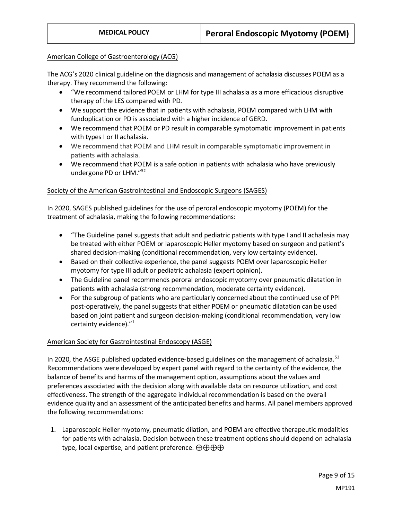### American College of Gastroenterology (ACG)

The ACG's 2020 clinical guideline on the diagnosis and management of achalasia discusses POEM as a therapy. They recommend the following:

- "We recommend tailored POEM or LHM for type III achalasia as a more efficacious disruptive therapy of the LES compared with PD.
- We support the evidence that in patients with achalasia, POEM compared with LHM with fundoplication or PD is associated with a higher incidence of GERD.
- We recommend that POEM or PD result in comparable symptomatic improvement in patients with types I or II achalasia.
- We recommend that POEM and LHM result in comparable symptomatic improvement in patients with achalasia.
- We recommend that POEM is a safe option in patients with achalasia who have previously undergone PD or LHM."<sup>52</sup>

### Society of the American Gastrointestinal and Endoscopic Surgeons (SAGES)

In 2020, SAGES published guidelines for the use of peroral endoscopic myotomy (POEM) for the treatment of achalasia, making the following recommendations:

- "The Guideline panel suggests that adult and pediatric patients with type I and II achalasia may be treated with either POEM or laparoscopic Heller myotomy based on surgeon and patient's shared decision-making (conditional recommendation, very low certainty evidence).
- Based on their collective experience, the panel suggests POEM over laparoscopic Heller myotomy for type III adult or pediatric achalasia (expert opinion).
- The Guideline panel recommends peroral endoscopic myotomy over pneumatic dilatation in patients with achalasia (strong recommendation, moderate certainty evidence).
- For the subgroup of patients who are particularly concerned about the continued use of PPI post-operatively, the panel suggests that either POEM or pneumatic dilatation can be used based on joint patient and surgeon decision-making (conditional recommendation, very low certainty evidence)."<sup>1</sup>

### American Society for Gastrointestinal Endoscopy (ASGE)

In 2020, the ASGE published updated evidence-based guidelines on the management of achalasia.<sup>53</sup> Recommendations were developed by expert panel with regard to the certainty of the evidence, the balance of benefits and harms of the management option, assumptions about the values and preferences associated with the decision along with available data on resource utilization, and cost effectiveness. The strength of the aggregate individual recommendation is based on the overall evidence quality and an assessment of the anticipated benefits and harms. All panel members approved the following recommendations:

1. Laparoscopic Heller myotomy, pneumatic dilation, and POEM are effective therapeutic modalities for patients with achalasia. Decision between these treatment options should depend on achalasia type, local expertise, and patient preference. ⊕⊕⊕⊕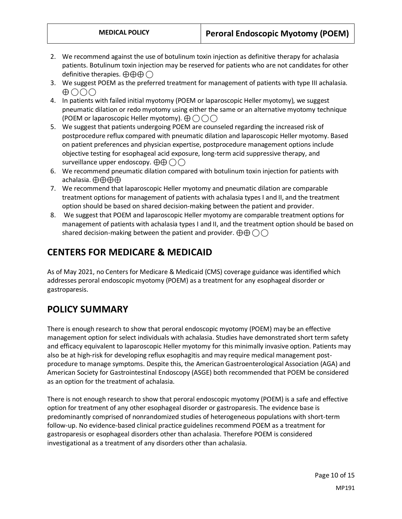- 2. We recommend against the use of botulinum toxin injection as definitive therapy for achalasia patients. Botulinum toxin injection may be reserved for patients who are not candidates for other definitive therapies.  $\oplus \oplus \oplus$  ( )
- 3. We suggest POEM as the preferred treatment for management of patients with type III achalasia.  $\bigoplus$   $\bigcirc$   $\bigcirc$   $\bigcirc$
- 4. In patients with failed initial myotomy (POEM or laparoscopic Heller myotomy), we suggest pneumatic dilation or redo myotomy using either the same or an alternative myotomy technique (POEM or laparoscopic Heller myotomy).  $\bigoplus \bigcap \bigcap$
- 5. We suggest that patients undergoing POEM are counseled regarding the increased risk of postprocedure reflux compared with pneumatic dilation and laparoscopic Heller myotomy. Based on patient preferences and physician expertise, postprocedure management options include objective testing for esophageal acid exposure, long-term acid suppressive therapy, and surveillance upper endoscopy.  $\bigoplus \bigoplus (\big)$
- 6. We recommend pneumatic dilation compared with botulinum toxin injection for patients with achalasia. ⊕⊕⊕⊕
- 7. We recommend that laparoscopic Heller myotomy and pneumatic dilation are comparable treatment options for management of patients with achalasia types I and II, and the treatment option should be based on shared decision-making between the patient and provider.
- <span id="page-9-0"></span>8. We suggest that POEM and laparoscopic Heller myotomy are comparable treatment options for management of patients with achalasia types I and II, and the treatment option should be based on shared decision-making between the patient and provider.  $\bigoplus \bigoplus \bigcap$

# **CENTERS FOR MEDICARE & MEDICAID**

As of May 2021, no Centers for Medicare & Medicaid (CMS) coverage guidance was identified which addresses peroral endoscopic myotomy (POEM) as a treatment for any esophageal disorder or gastroparesis.

# **POLICY SUMMARY**

There is enough research to show that peroral endoscopic myotomy (POEM) may be an effective management option for select individuals with achalasia. Studies have demonstrated short term safety and efficacy equivalent to laparoscopic Heller myotomy for this minimally invasive option. Patients may also be at high-risk for developing reflux esophagitis and may require medical management postprocedure to manage symptoms. Despite this, the American Gastroenterological Association (AGA) and American Society for Gastrointestinal Endoscopy (ASGE) both recommended that POEM be considered as an option for the treatment of achalasia.

There is not enough research to show that peroral endoscopic myotomy (POEM) is a safe and effective option for treatment of any other esophageal disorder or gastroparesis. The evidence base is predominantly comprised of nonrandomized studies of heterogeneous populations with short-term follow-up. No evidence-based clinical practice guidelines recommend POEM as a treatment for gastroparesis or esophageal disorders other than achalasia. Therefore POEM is considered investigational as a treatment of any disorders other than achalasia.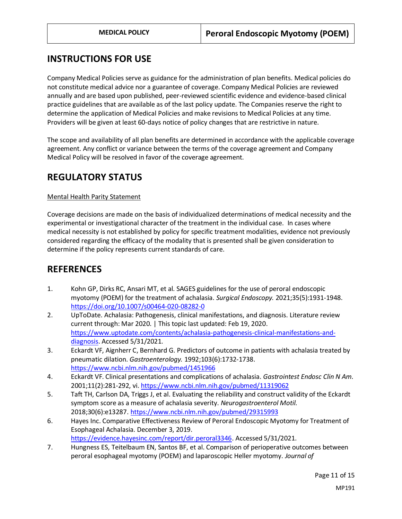# **INSTRUCTIONS FOR USE**

Company Medical Policies serve as guidance for the administration of plan benefits. Medical policies do not constitute medical advice nor a guarantee of coverage. Company Medical Policies are reviewed annually and are based upon published, peer-reviewed scientific evidence and evidence-based clinical practice guidelines that are available as of the last policy update. The Companies reserve the right to determine the application of Medical Policies and make revisions to Medical Policies at any time. Providers will be given at least 60-days notice of policy changes that are restrictive in nature.

The scope and availability of all plan benefits are determined in accordance with the applicable coverage agreement. Any conflict or variance between the terms of the coverage agreement and Company Medical Policy will be resolved in favor of the coverage agreement.

## **REGULATORY STATUS**

## Mental Health Parity Statement

Coverage decisions are made on the basis of individualized determinations of medical necessity and the experimental or investigational character of the treatment in the individual case. In cases where medical necessity is not established by policy for specific treatment modalities, evidence not previously considered regarding the efficacy of the modality that is presented shall be given consideration to determine if the policy represents current standards of care.

## **REFERENCES**

- 1. Kohn GP, Dirks RC, Ansari MT, et al. SAGES guidelines for the use of peroral endoscopic myotomy (POEM) for the treatment of achalasia. *Surgical Endoscopy.* 2021;35(5):1931-1948. <https://doi.org/10.1007/s00464-020-08282-0>
- 2. UpToDate. Achalasia: Pathogenesis, clinical manifestations, and diagnosis. Literature review current through: Mar 2020. | This topic last updated: Feb 19, 2020. [https://www.uptodate.com/contents/achalasia-pathogenesis-clinical-manifestations-and](https://www.uptodate.com/contents/achalasia-pathogenesis-clinical-manifestations-and-diagnosis)[diagnosis.](https://www.uptodate.com/contents/achalasia-pathogenesis-clinical-manifestations-and-diagnosis) Accessed 5/31/2021.
- 3. Eckardt VF, Aignherr C, Bernhard G. Predictors of outcome in patients with achalasia treated by pneumatic dilation. *Gastroenterology.* 1992;103(6):1732-1738. <https://www.ncbi.nlm.nih.gov/pubmed/1451966>
- 4. Eckardt VF. Clinical presentations and complications of achalasia. *Gastrointest Endosc Clin N Am.*  2001;11(2):281-292, vi[. https://www.ncbi.nlm.nih.gov/pubmed/11319062](https://www.ncbi.nlm.nih.gov/pubmed/11319062)
- 5. Taft TH, Carlson DA, Triggs J, et al. Evaluating the reliability and construct validity of the Eckardt symptom score as a measure of achalasia severity. *Neurogastroenterol Motil.*  2018;30(6):e13287[. https://www.ncbi.nlm.nih.gov/pubmed/29315993](https://www.ncbi.nlm.nih.gov/pubmed/29315993)
- 6. Hayes Inc. Comparative Effectiveness Review of Peroral Endoscopic Myotomy for Treatment of Esophageal Achalasia. December 3, 2019. [https://evidence.hayesinc.com/report/dir.peroral3346.](https://evidence.hayesinc.com/report/dir.peroral3346) Accessed 5/31/2021.
- 7. Hungness ES, Teitelbaum EN, Santos BF, et al. Comparison of perioperative outcomes between peroral esophageal myotomy (POEM) and laparoscopic Heller myotomy. *Journal of*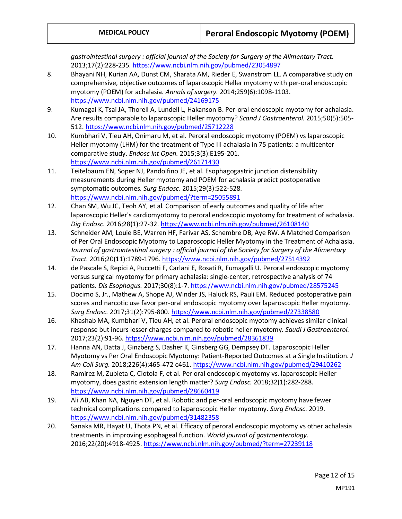*gastrointestinal surgery : official journal of the Society for Surgery of the Alimentary Tract.*  2013;17(2):228-235[. https://www.ncbi.nlm.nih.gov/pubmed/23054897](https://www.ncbi.nlm.nih.gov/pubmed/23054897)

- 8. Bhayani NH, Kurian AA, Dunst CM, Sharata AM, Rieder E, Swanstrom LL. A comparative study on comprehensive, objective outcomes of laparoscopic Heller myotomy with per-oral endoscopic myotomy (POEM) for achalasia. *Annals of surgery.* 2014;259(6):1098-1103. <https://www.ncbi.nlm.nih.gov/pubmed/24169175>
- 9. Kumagai K, Tsai JA, Thorell A, Lundell L, Hakanson B. Per-oral endoscopic myotomy for achalasia. Are results comparable to laparoscopic Heller myotomy? *Scand J Gastroenterol.* 2015;50(5):505- 512.<https://www.ncbi.nlm.nih.gov/pubmed/25712228>
- 10. Kumbhari V, Tieu AH, Onimaru M, et al. Peroral endoscopic myotomy (POEM) vs laparoscopic Heller myotomy (LHM) for the treatment of Type III achalasia in 75 patients: a multicenter comparative study. *Endosc Int Open.* 2015;3(3):E195-201. <https://www.ncbi.nlm.nih.gov/pubmed/26171430>
- 11. Teitelbaum EN, Soper NJ, Pandolfino JE, et al. Esophagogastric junction distensibility measurements during Heller myotomy and POEM for achalasia predict postoperative symptomatic outcomes. *Surg Endosc.* 2015;29(3):522-528. <https://www.ncbi.nlm.nih.gov/pubmed/?term=25055891>
- 12. Chan SM, Wu JC, Teoh AY, et al. Comparison of early outcomes and quality of life after laparoscopic Heller's cardiomyotomy to peroral endoscopic myotomy for treatment of achalasia. *Dig Endosc.* 2016;28(1):27-32[. https://www.ncbi.nlm.nih.gov/pubmed/26108140](https://www.ncbi.nlm.nih.gov/pubmed/26108140)
- 13. Schneider AM, Louie BE, Warren HF, Farivar AS, Schembre DB, Aye RW. A Matched Comparison of Per Oral Endoscopic Myotomy to Laparoscopic Heller Myotomy in the Treatment of Achalasia. *Journal of gastrointestinal surgery : official journal of the Society for Surgery of the Alimentary Tract.* 2016;20(11):1789-1796[. https://www.ncbi.nlm.nih.gov/pubmed/27514392](https://www.ncbi.nlm.nih.gov/pubmed/27514392)
- 14. de Pascale S, Repici A, Puccetti F, Carlani E, Rosati R, Fumagalli U. Peroral endoscopic myotomy versus surgical myotomy for primary achalasia: single-center, retrospective analysis of 74 patients. *Dis Esophagus.* 2017;30(8):1-7[. https://www.ncbi.nlm.nih.gov/pubmed/28575245](https://www.ncbi.nlm.nih.gov/pubmed/28575245)
- 15. Docimo S, Jr., Mathew A, Shope AJ, Winder JS, Haluck RS, Pauli EM. Reduced postoperative pain scores and narcotic use favor per-oral endoscopic myotomy over laparoscopic Heller myotomy. *Surg Endosc.* 2017;31(2):795-800[. https://www.ncbi.nlm.nih.gov/pubmed/27338580](https://www.ncbi.nlm.nih.gov/pubmed/27338580)
- 16. Khashab MA, Kumbhari V, Tieu AH, et al. Peroral endoscopic myotomy achieves similar clinical response but incurs lesser charges compared to robotic heller myotomy. *Saudi J Gastroenterol.*  2017;23(2):91-96[. https://www.ncbi.nlm.nih.gov/pubmed/28361839](https://www.ncbi.nlm.nih.gov/pubmed/28361839)
- 17. Hanna AN, Datta J, Ginzberg S, Dasher K, Ginsberg GG, Dempsey DT. Laparoscopic Heller Myotomy vs Per Oral Endoscopic Myotomy: Patient-Reported Outcomes at a Single Institution. *J Am Coll Surg.* 2018;226(4):465-472 e461[. https://www.ncbi.nlm.nih.gov/pubmed/29410262](https://www.ncbi.nlm.nih.gov/pubmed/29410262)
- 18. Ramirez M, Zubieta C, Ciotola F, et al. Per oral endoscopic myotomy vs. laparoscopic Heller myotomy, does gastric extension length matter? *Surg Endosc.* 2018;32(1):282-288. <https://www.ncbi.nlm.nih.gov/pubmed/28660419>
- 19. Ali AB, Khan NA, Nguyen DT, et al. Robotic and per-oral endoscopic myotomy have fewer technical complications compared to laparoscopic Heller myotomy. *Surg Endosc.* 2019. <https://www.ncbi.nlm.nih.gov/pubmed/31482358>
- 20. Sanaka MR, Hayat U, Thota PN, et al. Efficacy of peroral endoscopic myotomy vs other achalasia treatments in improving esophageal function. *World journal of gastroenterology.*  2016;22(20):4918-4925[. https://www.ncbi.nlm.nih.gov/pubmed/?term=27239118](https://www.ncbi.nlm.nih.gov/pubmed/?term=27239118)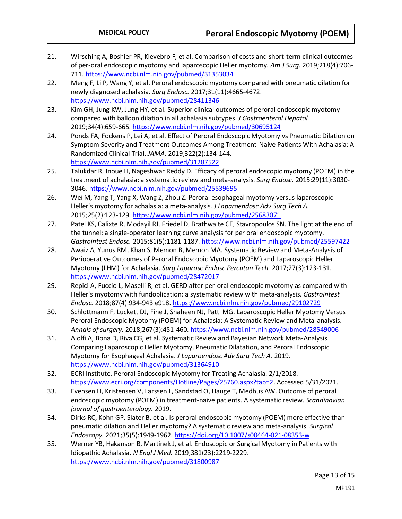- 21. Wirsching A, Boshier PR, Klevebro F, et al. Comparison of costs and short-term clinical outcomes of per-oral endoscopic myotomy and laparoscopic Heller myotomy. *Am J Surg.* 2019;218(4):706- 711. <https://www.ncbi.nlm.nih.gov/pubmed/31353034>
- 22. Meng F, Li P, Wang Y, et al. Peroral endoscopic myotomy compared with pneumatic dilation for newly diagnosed achalasia. *Surg Endosc.* 2017;31(11):4665-4672. <https://www.ncbi.nlm.nih.gov/pubmed/28411346>
- 23. Kim GH, Jung KW, Jung HY, et al. Superior clinical outcomes of peroral endoscopic myotomy compared with balloon dilation in all achalasia subtypes. *J Gastroenterol Hepatol.*  2019;34(4):659-665[. https://www.ncbi.nlm.nih.gov/pubmed/30695124](https://www.ncbi.nlm.nih.gov/pubmed/30695124)
- 24. Ponds FA, Fockens P, Lei A, et al. Effect of Peroral Endoscopic Myotomy vs Pneumatic Dilation on Symptom Severity and Treatment Outcomes Among Treatment-Naive Patients With Achalasia: A Randomized Clinical Trial. *JAMA.* 2019;322(2):134-144. <https://www.ncbi.nlm.nih.gov/pubmed/31287522>
- 25. Talukdar R, Inoue H, Nageshwar Reddy D. Efficacy of peroral endoscopic myotomy (POEM) in the treatment of achalasia: a systematic review and meta-analysis. *Surg Endosc.* 2015;29(11):3030- 3046[. https://www.ncbi.nlm.nih.gov/pubmed/25539695](https://www.ncbi.nlm.nih.gov/pubmed/25539695)
- 26. Wei M, Yang T, Yang X, Wang Z, Zhou Z. Peroral esophageal myotomy versus laparoscopic Heller's myotomy for achalasia: a meta-analysis. *J Laparoendosc Adv Surg Tech A.*  2015;25(2):123-129[. https://www.ncbi.nlm.nih.gov/pubmed/25683071](https://www.ncbi.nlm.nih.gov/pubmed/25683071)
- 27. Patel KS, Calixte R, Modayil RJ, Friedel D, Brathwaite CE, Stavropoulos SN. The light at the end of the tunnel: a single-operator learning curve analysis for per oral endoscopic myotomy. *Gastrointest Endosc.* 2015;81(5):1181-1187.<https://www.ncbi.nlm.nih.gov/pubmed/25597422>
- 28. Awaiz A, Yunus RM, Khan S, Memon B, Memon MA. Systematic Review and Meta-Analysis of Perioperative Outcomes of Peroral Endoscopic Myotomy (POEM) and Laparoscopic Heller Myotomy (LHM) for Achalasia. *Surg Laparosc Endosc Percutan Tech.* 2017;27(3):123-131. <https://www.ncbi.nlm.nih.gov/pubmed/28472017>
- 29. Repici A, Fuccio L, Maselli R, et al. GERD after per-oral endoscopic myotomy as compared with Heller's myotomy with fundoplication: a systematic review with meta-analysis. *Gastrointest Endosc.* 2018;87(4):934-943 e918.<https://www.ncbi.nlm.nih.gov/pubmed/29102729>
- 30. Schlottmann F, Luckett DJ, Fine J, Shaheen NJ, Patti MG. Laparoscopic Heller Myotomy Versus Peroral Endoscopic Myotomy (POEM) for Achalasia: A Systematic Review and Meta-analysis. *Annals of surgery.* 2018;267(3):451-460.<https://www.ncbi.nlm.nih.gov/pubmed/28549006>
- 31. Aiolfi A, Bona D, Riva CG, et al. Systematic Review and Bayesian Network Meta-Analysis Comparing Laparoscopic Heller Myotomy, Pneumatic Dilatation, and Peroral Endoscopic Myotomy for Esophageal Achalasia. *J Laparoendosc Adv Surg Tech A.* 2019. <https://www.ncbi.nlm.nih.gov/pubmed/31364910>
- 32. ECRI Institute. Peroral Endoscopic Myotomy for Treating Achalasia. 2/1/2018. [https://www.ecri.org/components/Hotline/Pages/25760.aspx?tab=2.](https://www.ecri.org/components/Hotline/Pages/25760.aspx?tab=2) Accessed 5/31/2021.
- 33. Evensen H, Kristensen V, Larssen L, Sandstad O, Hauge T, Medhus AW. Outcome of peroral endoscopic myotomy (POEM) in treatment-naive patients. A systematic review. *Scandinavian journal of gastroenterology.* 2019.
- 34. Dirks RC, Kohn GP, Slater B, et al. Is peroral endoscopic myotomy (POEM) more effective than pneumatic dilation and Heller myotomy? A systematic review and meta-analysis. *Surgical Endoscopy.* 2021;35(5):1949-1962[. https://doi.org/10.1007/s00464-021-08353-w](https://doi.org/10.1007/s00464-021-08353-w)
- 35. Werner YB, Hakanson B, Martinek J, et al. Endoscopic or Surgical Myotomy in Patients with Idiopathic Achalasia. *N Engl J Med.* 2019;381(23):2219-2229. <https://www.ncbi.nlm.nih.gov/pubmed/31800987>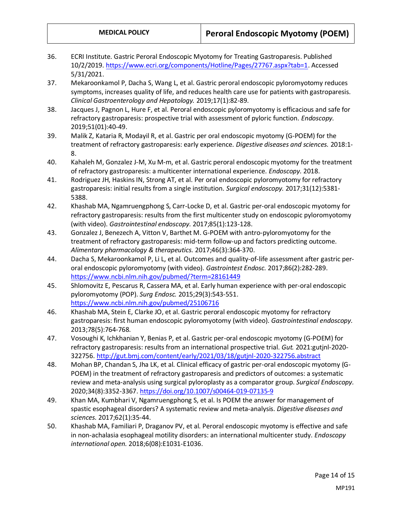- 36. ECRI Institute. Gastric Peroral Endoscopic Myotomy for Treating Gastroparesis. Published 10/2/2019. [https://www.ecri.org/components/Hotline/Pages/27767.aspx?tab=1.](https://www.ecri.org/components/Hotline/Pages/27767.aspx?tab=1) Accessed 5/31/2021.
- 37. Mekaroonkamol P, Dacha S, Wang L, et al. Gastric peroral endoscopic pyloromyotomy reduces symptoms, increases quality of life, and reduces health care use for patients with gastroparesis. *Clinical Gastroenterology and Hepatology.* 2019;17(1):82-89.
- 38. Jacques J, Pagnon L, Hure F, et al. Peroral endoscopic pyloromyotomy is efficacious and safe for refractory gastroparesis: prospective trial with assessment of pyloric function. *Endoscopy.*  2019;51(01):40-49.
- 39. Malik Z, Kataria R, Modayil R, et al. Gastric per oral endoscopic myotomy (G-POEM) for the treatment of refractory gastroparesis: early experience. *Digestive diseases and sciences.* 2018:1- 8.
- 40. Kahaleh M, Gonzalez J-M, Xu M-m, et al. Gastric peroral endoscopic myotomy for the treatment of refractory gastroparesis: a multicenter international experience. *Endoscopy.* 2018.
- 41. Rodriguez JH, Haskins IN, Strong AT, et al. Per oral endoscopic pyloromyotomy for refractory gastroparesis: initial results from a single institution. *Surgical endoscopy.* 2017;31(12):5381- 5388.
- 42. Khashab MA, Ngamruengphong S, Carr-Locke D, et al. Gastric per-oral endoscopic myotomy for refractory gastroparesis: results from the first multicenter study on endoscopic pyloromyotomy (with video). *Gastrointestinal endoscopy.* 2017;85(1):123-128.
- 43. Gonzalez J, Benezech A, Vitton V, Barthet M. G-POEM with antro-pyloromyotomy for the treatment of refractory gastroparesis: mid‐term follow‐up and factors predicting outcome. *Alimentary pharmacology & therapeutics.* 2017;46(3):364-370.
- 44. Dacha S, Mekaroonkamol P, Li L, et al. Outcomes and quality-of-life assessment after gastric peroral endoscopic pyloromyotomy (with video). *Gastrointest Endosc.* 2017;86(2):282-289. <https://www.ncbi.nlm.nih.gov/pubmed/?term=28161449>
- 45. Shlomovitz E, Pescarus R, Cassera MA, et al. Early human experience with per-oral endoscopic pyloromyotomy (POP). *Surg Endosc.* 2015;29(3):543-551. <https://www.ncbi.nlm.nih.gov/pubmed/25106716>
- 46. Khashab MA, Stein E, Clarke JO, et al. Gastric peroral endoscopic myotomy for refractory gastroparesis: first human endoscopic pyloromyotomy (with video). *Gastrointestinal endoscopy.*  2013;78(5):764-768.
- 47. Vosoughi K, Ichkhanian Y, Benias P, et al. Gastric per-oral endoscopic myotomy (G-POEM) for refractory gastroparesis: results from an international prospective trial. *Gut.* 2021:gutjnl-2020- 322756[. http://gut.bmj.com/content/early/2021/03/18/gutjnl-2020-322756.abstract](http://gut.bmj.com/content/early/2021/03/18/gutjnl-2020-322756.abstract)
- 48. Mohan BP, Chandan S, Jha LK, et al. Clinical efficacy of gastric per-oral endoscopic myotomy (G-POEM) in the treatment of refractory gastroparesis and predictors of outcomes: a systematic review and meta-analysis using surgical pyloroplasty as a comparator group. *Surgical Endoscopy.*  2020;34(8):3352-3367.<https://doi.org/10.1007/s00464-019-07135-9>
- 49. Khan MA, Kumbhari V, Ngamruengphong S, et al. Is POEM the answer for management of spastic esophageal disorders? A systematic review and meta-analysis. *Digestive diseases and sciences.* 2017;62(1):35-44.
- 50. Khashab MA, Familiari P, Draganov PV, et al. Peroral endoscopic myotomy is effective and safe in non-achalasia esophageal motility disorders: an international multicenter study. *Endoscopy international open.* 2018;6(08):E1031-E1036.